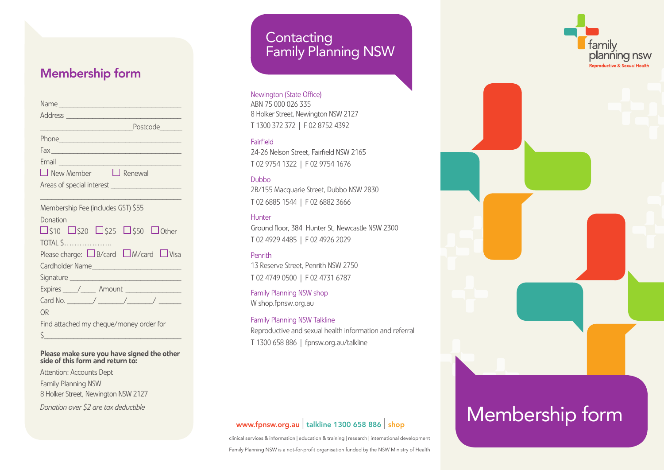## Membership form

| $\Box$ New Member $\Box$ Renewal                                            |
|-----------------------------------------------------------------------------|
|                                                                             |
|                                                                             |
| Membership Fee (includes GST) \$55                                          |
| Donation                                                                    |
| $\square$ \$10 $\square$ \$20 $\square$ \$25 $\square$ \$50 $\square$ Other |
| <b>TOTAL \$</b>                                                             |
| Please charge: $\Box$ B/card $\Box$ M/card $\Box$ Visa                      |
|                                                                             |
|                                                                             |
| Expires /___/____ Amount _______________                                    |
|                                                                             |
| OR                                                                          |
| Find attached my cheque/money order for                                     |
| $\zeta$                                                                     |

### Please make sure you have signed the other side of this form and return to:

Attention: Accounts Dept

Family Planning NSW 8 Holker Street, Newington NSW 2127

*Donation over \$2 are tax deductible*

# **Contacting** Family Planning NSW

Newington (State Office)

ABN 75 000 026 335 8 Holker Street, Newington NSW 2127 T 1300 372 372 | F 02 8752 4392

## Fairfield

24-26 Nelson Street, Fairfield NSW 2165 T 02 9754 1322 | F 02 9754 1676

## Dubbo

2B/155 Macquarie Street, Dubbo NSW 2830 T 02 6885 1544 | F 02 6882 3666

## Hunter

Ground floor, 384 Hunter St. Newcastle NSW 2300 T 02 4929 4485 | F 02 4926 2029

## Penrith

13 Reserve Street, Penrith NSW 2750 T 02 4749 0500 | F 02 4731 6787

Family Planning NSW shop [W shop.fpnsw.org.au](shop.fpnsw.org.au)

### Family Planning NSW Talkline

Reproductive and sexual health information and referral T 1300 658 886 | <fpnsw.org.au/talkline>

clinical services & information | education & training | research | international development Family Planning NSW is a not-for-profit organisation funded by the NSW Ministry of Health